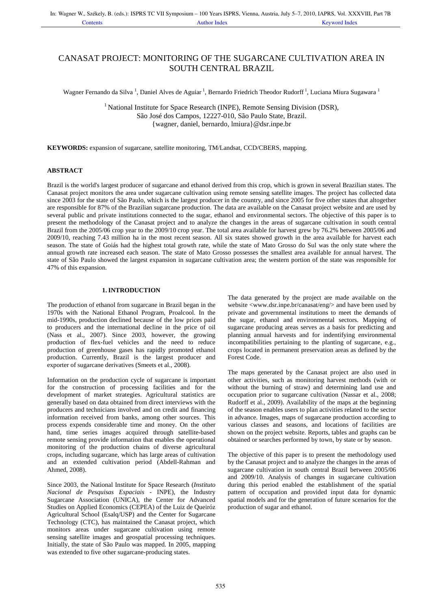# CANASAT PROJECT: MONITORING OF THE SUGARCANE CULTIVATION AREA IN SOUTH CENTRAL BRAZIL

Wagner Fernando da Silva<sup>1</sup>, Daniel Alves de Aguiar<sup>1</sup>, Bernardo Friedrich Theodor Rudorff<sup>1</sup>, Luciana Miura Sugawara<sup>1</sup>

<sup>1</sup> National Institute for Space Research (INPE), Remote Sensing Division (DSR), São José dos Campos, 12227-010, São Paulo State, Brazil. {wagner, daniel, bernardo, lmiura}@dsr.inpe.br

**KEYWORDS:** expansion of sugarcane, satellite monitoring, TM/Landsat, CCD/CBERS, mapping.

# **ABSTRACT**

Brazil is the world's largest producer of sugarcane and ethanol derived from this crop, which is grown in several Brazilian states. The Canasat project monitors the area under sugarcane cultivation using remote sensing satellite images. The project has collected data since 2003 for the state of São Paulo, which is the largest producer in the country, and since 2005 for five other states that altogether are responsible for 87% of the Brazilian sugarcane production. The data are available on the Canasat project website and are used by several public and private institutions connected to the sugar, ethanol and environmental sectors. The objective of this paper is to present the methodology of the Canasat project and to analyze the changes in the areas of sugarcane cultivation in south central Brazil from the 2005/06 crop year to the 2009/10 crop year. The total area available for harvest grew by 76.2% between 2005/06 and 2009/10, reaching 7.43 million ha in the most recent season. All six states showed growth in the area available for harvest each season. The state of Goiás had the highest total growth rate, while the state of Mato Grosso do Sul was the only state where the annual growth rate increased each season. The state of Mato Grosso possesses the smallest area available for annual harvest. The state of São Paulo showed the largest expansion in sugarcane cultivation area; the western portion of the state was responsible for 47% of this expansion.

# **1.INTRODUCTION**

The production of ethanol from sugarcane in Brazil began in the 1970s with the National Ethanol Program, Proalcool. In the mid-1990s, production declined because of the low prices paid to producers and the international decline in the price of oil (Nass et al., 2007). Since 2003, however, the growing production of flex-fuel vehicles and the need to reduce production of greenhouse gases has rapidly promoted ethanol production. Currently, Brazil is the largest producer and exporter of sugarcane derivatives (Smeets et al., 2008).

Information on the production cycle of sugarcane is important for the construction of processing facilities and for the development of market strategies. Agricultural statistics are generally based on data obtained from direct interviews with the producers and technicians involved and on credit and financing information received from banks, among other sources. This process expends considerable time and money. On the other hand, time series images acquired through satellite-based remote sensing provide information that enables the operational monitoring of the production chains of diverse agricultural crops, including sugarcane, which has large areas of cultivation and an extended cultivation period (Abdell-Rahman and Ahmed, 2008).

Since 2003, the National Institute for Space Research (*Instituto Nacional de Pesquisas Espaciais* - INPE), the Industry Sugarcane Association (UNICA), the Center for Advanced Studies on Applied Economics (CEPEA) of the Luiz de Queiróz Agricultural School (Esalq/USP) and the Center for Sugarcane Technology (CTC), has maintained the Canasat project, which monitors areas under sugarcane cultivation using remote sensing satellite images and geospatial processing techniques. Initially, the state of São Paulo was mapped. In 2005, mapping was extended to five other sugarcane-producing states.

The data generated by the project are made available on the website <www.dsr.inpe.br/canasat/eng/> and have been used by private and governmental institutions to meet the demands of the sugar, ethanol and environmental sectors. Mapping of sugarcane producing areas serves as a basis for predicting and planning annual harvests and for indentifying environmental incompatibilities pertaining to the planting of sugarcane, e.g., crops located in permanent preservation areas as defined by the Forest Code.

The maps generated by the Canasat project are also used in other activities, such as monitoring harvest methods (with or without the burning of straw) and determining land use and occupation prior to sugarcane cultivation (Nassar et al., 2008; Rudorff et al., 2009). Availability of the maps at the beginning of the season enables users to plan activities related to the sector in advance. Images, maps of sugarcane production according to various classes and seasons, and locations of facilities are shown on the project website. Reports, tables and graphs can be obtained or searches performed by town, by state or by season.

The objective of this paper is to present the methodology used by the Canasat project and to analyze the changes in the areas of sugarcane cultivation in south central Brazil between 2005/06 and 2009/10. Analysis of changes in sugarcane cultivation during this period enabled the establishment of the spatial pattern of occupation and provided input data for dynamic spatial models and for the generation of future scenarios for the production of sugar and ethanol.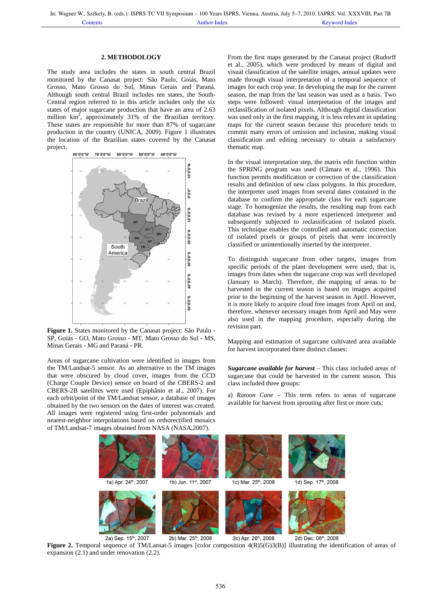## **2. METHODOLOGY**

The study area includes the states in south central Brazil monitored by the Canasat project: São Paulo, Goiás, Mato Grosso, Mato Grosso do Sul, Minas Gerais and Paraná. Although south central Brazil includes ten states, the South-Central region referred to in this article includes only the six states of major sugarcane production that have an area of 2.63 million  $km^2$ , approximately 31% of the Brazilian territory. These states are responsible for more than 87% of sugarcane production in the country (UNICA, 2009). Figure 1 illustrates the location of the Brazilian states covered by the Canasat project.



**Figure 1.** States monitored by the Canasat project: São Paulo - SP, Goiás - GO, Mato Grosso - MT, Mato Grosso do Sul - MS, Minas Gerais - MG and Paraná - PR.

Areas of sugarcane cultivation were identified in images from the TM/Landsat-5 sensor. As an alternative to the TM images that were obscured by cloud cover, images from the CCD (Charge Couple Device) sensor on board of the CBERS-2 and CBERS-2B satellites were used (Epiphânio et al., 2007). For each orbit/point of the TM/Landsat sensor, a database of images obtained by the two sensors on the dates of interest was created. All images were registered using first-order polynomials and nearest-neighbor interpolations based on orthorectified mosaics of TM/Landsat-7 images obtained from NASA (NASA,2007).

From the first maps generated by the Canasat project (Rudorff et al., 2005), which were produced by means of digital and visual classification of the satellite images, annual updates were made through visual interpretation of a temporal sequence of images for each crop year. In developing the map for the current season, the map from the last season was used as a basis. Two steps were followed: visual interpretation of the images and reclassification of isolated pixels. Although digital classification was used only in the first mapping, it is less relevant in updating maps for the current season because this procedure tends to commit many errors of omission and inclusion, making visual classification and editing necessary to obtain a satisfactory thematic map.

In the visual interpretation step, the matrix edit function within the SPRING program was used (Câmara et al., 1996). This function permits modification or correction of the classification results and definition of new class polygons. In this procedure, the interpreter used images from several dates contained in the database to confirm the appropriate class for each sugarcane stage. To homogenize the results, the resulting map from each database was revised by a more experienced interpreter and subsequently subjected to reclassification of isolated pixels. This technique enables the controlled and automatic correction of isolated pixels or groups of pixels that were incorrectly classified or unintentionally inserted by the interpreter.

To distinguish sugarcane from other targets, images from specific periods of the plant development were used, that is, images from dates when the sugarcane crop was well developed (January to March). Therefore, the mapping of areas to be harvested in the current season is based on images acquired prior to the beginning of the harvest season in April. However, it is more likely to acquire cloud free images from April on and, therefore, whenever necessary images from April and May were also used in the mapping procedure, especially during the revision part.

Mapping and estimation of sugarcane cultivated area available for harvest incorporated three distinct classes:

*Sugarcane available for harvest* – This class included areas of sugarcane that could be harvested in the current season. This class included three groups:

a) *Ratoon Cane* – This term refers to areas of sugarcane available for harvest from sprouting after first or more cuts;



**Figure 2.** Temporal sequence of TM/Lansat-5 images [color composition  $4(R)5(G)3(B)$ ] illustrating the identification of areas of expansion  $(2.1)$  and under renovation  $(2.2)$ .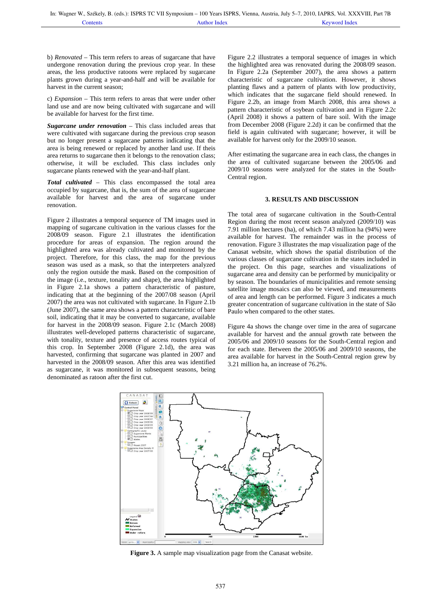b) *Renovated* – This term refers to areas of sugarcane that have undergone renovation during the previous crop year. In these areas, the less productive ratoons were replaced by sugarcane plants grown during a year-and-half and will be available for harvest in the current season;

c) *Expansion* – This term refers to areas that were under other land use and are now being cultivated with sugarcane and will be available for harvest for the first time.

*Sugarcane under renovation* – This class included areas that were cultivated with sugarcane during the previous crop season but no longer present a sugarcane patterns indicating that the area is being renewed or replaced by another land use. If theis area returns to sugarcane then it belongs to the renovation class; otherwise, it will be excluded. This class includes only sugarcane plants renewed with the year-and-half plant.

*Total cultivated* – This class encompassed the total area occupied by sugarcane, that is, the sum of the area of sugarcane available for harvest and the area of sugarcane under renovation.

Figure 2 illustrates a temporal sequence of TM images used in mapping of sugarcane cultivation in the various classes for the 2008/09 season. Figure 2.1 illustrates the identification procedure for areas of expansion. The region around the highlighted area was already cultivated and monitored by the project. Therefore, for this class, the map for the previous season was used as a mask, so that the interpreters analyzed only the region outside the mask. Based on the composition of the image (i.e., texture, tonality and shape), the area highlighted in Figure 2.1a shows a pattern characteristic of pasture, indicating that at the beginning of the 2007/08 season (April 2007) the area was not cultivated with sugarcane. In Figure 2.1b (June 2007), the same area shows a pattern characteristic of bare soil, indicating that it may be converted to sugarcane, available for harvest in the 2008/09 season. Figure 2.1c (March 2008) illustrates well-developed patterns characteristic of sugarcane, with tonality, texture and presence of access routes typical of this crop. In September 2008 (Figure 2.1d), the area was harvested, confirming that sugarcane was planted in 2007 and harvested in the 2008/09 season. After this area was identified as sugarcane, it was monitored in subsequent seasons, being denominated as ratoon after the first cut.

Figure 2.2 illustrates a temporal sequence of images in which the highlighted area was renovated during the 2008/09 season. In Figure 2.2a (September 2007), the area shows a pattern characteristic of sugarcane cultivation. However, it shows planting flaws and a pattern of plants with low productivity, which indicates that the sugarcane field should renewed. In Figure 2.2b, an image from March 2008, this area shows a pattern characteristic of soybean cultivation and in Figure 2.2c (April 2008) it shows a pattern of bare soil. With the image from December 2008 (Figure 2.2d) it can be confirmed that the field is again cultivated with sugarcane; however, it will be available for harvest only for the 2009/10 season.

After estimating the sugarcane area in each class, the changes in the area of cultivated sugarcane between the 2005/06 and 2009/10 seasons were analyzed for the states in the South-Central region.

#### **3. RESULTS AND DISCUSSION**

The total area of sugarcane cultivation in the South-Central Region during the most recent season analyzed (2009/10) was 7.91 million hectares (ha), of which 7.43 million ha (94%) were available for harvest. The remainder was in the process of renovation. Figure 3 illustrates the map visualization page of the Canasat website, which shows the spatial distribution of the various classes of sugarcane cultivation in the states included in the project. On this page, searches and visualizations of sugarcane area and density can be performed by municipality or by season. The boundaries of municipalities and remote sensing satellite image mosaics can also be viewed, and measurements of area and length can be performed. Figure 3 indicates a much greater concentration of sugarcane cultivation in the state of São Paulo when compared to the other states.

Figure 4a shows the change over time in the area of sugarcane available for harvest and the annual growth rate between the 2005/06 and 2009/10 seasons for the South-Central region and for each state. Between the 2005/06 and 2009/10 seasons, the area available for harvest in the South-Central region grew by 3.21 million ha, an increase of 76.2%.



**Figure 3.** A sample map visualization page from the Canasat website.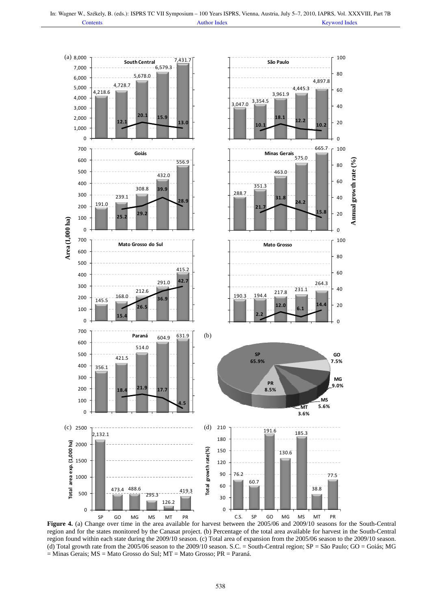

**Figure 4.** (a) Change over time in the area available for harvest between the 2005/06 and 2009/10 seasons for the South-Central region and for the states monitored by the Canasat project. (b) Percentage of the total area available for harvest in the South-Central region found within each state during the 2009/10 season. (c) Total area of expansion from the 2005/06 season to the 2009/10 season. (d) Total growth rate from the 2005/06 season to the 2009/10 season. S.C. = South-Central region;  $SP = S$ ão Paulo;  $GO = Goi$ ás; MG = Minas Gerais; MS = Mato Grosso do Sul; MT = Mato Grosso; PR = Paraná.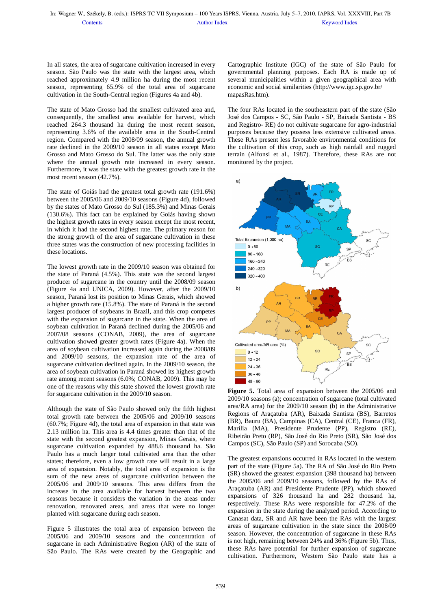In all states, the area of sugarcane cultivation increased in every season. São Paulo was the state with the largest area, which reached approximately 4.9 million ha during the most recent season, representing 65.9% of the total area of sugarcane cultivation in the South-Central region (Figures 4a and 4b).

The state of Mato Grosso had the smallest cultivated area and, consequently, the smallest area available for harvest, which reached 264.3 thousand ha during the most recent season, representing 3.6% of the available area in the South-Central region. Compared with the 2008/09 season, the annual growth rate declined in the 2009/10 season in all states except Mato Grosso and Mato Grosso do Sul. The latter was the only state where the annual growth rate increased in every season. Furthermore, it was the state with the greatest growth rate in the most recent season (42.7%).

The state of Goiás had the greatest total growth rate (191.6%) between the 2005/06 and 2009/10 seasons (Figure 4d), followed by the states of Mato Grosso do Sul (185.3%) and Minas Gerais (130.6%). This fact can be explained by Goiás having shown the highest growth rates in every season except the most recent, in which it had the second highest rate. The primary reason for the strong growth of the area of sugarcane cultivation in these three states was the construction of new processing facilities in these locations.

The lowest growth rate in the 2009/10 season was obtained for the state of Paraná (4.5%). This state was the second largest producer of sugarcane in the country until the 2008/09 season (Figure 4a and UNICA, 2009). However, after the 2009/10 season, Paraná lost its position to Minas Gerais, which showed a higher growth rate (15.8%). The state of Paraná is the second largest producer of soybeans in Brazil, and this crop competes with the expansion of sugarcane in the state. When the area of soybean cultivation in Paraná declined during the 2005/06 and 2007/08 seasons (CONAB, 2009), the area of sugarcane cultivation showed greater growth rates (Figure 4a). When the area of soybean cultivation increased again during the 2008/09 and 2009/10 seasons, the expansion rate of the area of sugarcane cultivation declined again. In the 2009/10 season, the area of soybean cultivation in Paraná showed its highest growth rate among recent seasons (6.0%; CONAB, 2009). This may be one of the reasons why this state showed the lowest growth rate for sugarcane cultivation in the 2009/10 season.

Although the state of São Paulo showed only the fifth highest total growth rate between the 2005/06 and 2009/10 seasons (60.7%; Figure 4d), the total area of expansion in that state was 2.13 million ha. This area is 4.4 times greater than that of the state with the second greatest expansion, Minas Gerais, where sugarcane cultivation expanded by 488.6 thousand ha. São Paulo has a much larger total cultivated area than the other states; therefore, even a low growth rate will result in a large area of expansion. Notably, the total area of expansion is the sum of the new areas of sugarcane cultivation between the 2005/06 and 2009/10 seasons. This area differs from the increase in the area available for harvest between the two seasons because it considers the variation in the areas under renovation, renovated areas, and areas that were no longer planted with sugarcane during each season.

Figure 5 illustrates the total area of expansion between the 2005/06 and 2009/10 seasons and the concentration of sugarcane in each Administrative Region (AR) of the state of São Paulo. The RAs were created by the Geographic and

Cartographic Institute (IGC) of the state of São Paulo for governmental planning purposes. Each RA is made up of several municipalities within a given geographical area with economic and social similarities (http://www.igc.sp.gov.br/ mapasRas.htm).

The four RAs located in the southeastern part of the state (São José dos Campos - SC, São Paulo - SP, Baixada Santista - BS and Registro- RE) do not cultivate sugarcane for agro-industrial purposes because they possess less extensive cultivated areas. These RAs present less favorable environmental conditions for the cultivation of this crop, such as high rainfall and rugged terrain (Alfonsi et al., 1987). Therefore, these RAs are not monitored by the project.



**Figure 5.** Total area of expansion between the 2005/06 and 2009/10 seasons (a); concentration of sugarcane (total cultivated area/RA area) for the 2009/10 season (b) in the Administrative Regions of Araçatuba (AR), Baixada Santista (BS), Barretos (BR), Bauru (BA), Campinas (CA), Central (CE), Franca (FR), Marília (MA), Presidente Prudente (PP), Registro (RE), Ribeirão Preto (RP), São José do Rio Preto (SR), São José dos Campos (SC), São Paulo (SP) and Sorocaba (SO).

The greatest expansions occurred in RAs located in the western part of the state (Figure 5a). The RA of São José do Rio Preto (SR) showed the greatest expansion (398 thousand ha) between the 2005/06 and 2009/10 seasons, followed by the RAs of Araçatuba (AR) and Presidente Prudente (PP), which showed expansions of 326 thousand ha and 282 thousand ha, respectively. These RAs were responsible for 47.2% of the expansion in the state during the analyzed period. According to Canasat data, SR and AR have been the RAs with the largest areas of sugarcane cultivation in the state since the 2008/09 season. However, the concentration of sugarcane in these RAs is not high, remaining between 24% and 36% (Figure 5b). Thus, these RAs have potential for further expansion of sugarcane cultivation. Furthermore, Western São Paulo state has a